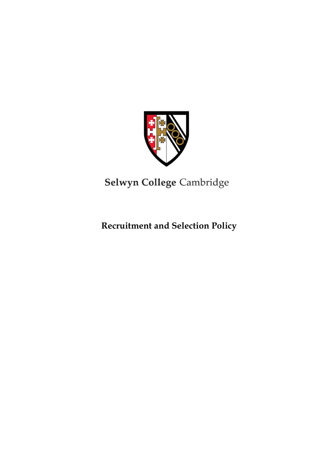

Selwyn College Cambridge

**Recruitment and Selection Policy**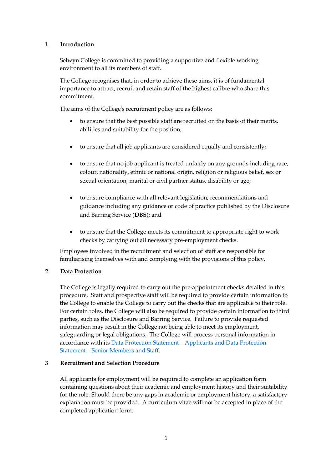#### **1 Introduction**

Selwyn College is committed to providing a supportive and flexible working environment to all its members of staff.

The College recognises that, in order to achieve these aims, it is of fundamental importance to attract, recruit and retain staff of the highest calibre who share this commitment.

The aims of the College's recruitment policy are as follows:

- to ensure that the best possible staff are recruited on the basis of their merits, abilities and suitability for the position;
- to ensure that all job applicants are considered equally and consistently;
- to ensure that no job applicant is treated unfairly on any grounds including race, colour, nationality, ethnic or national origin, religion or religious belief, sex or sexual orientation, marital or civil partner status, disability or age;
- to ensure compliance with all relevant legislation, recommendations and guidance including any guidance or code of practice published by the Disclosure and Barring Service (**DBS**); and
- to ensure that the College meets its commitment to appropriate right to work checks by carrying out all necessary pre-employment checks.

Employees involved in the recruitment and selection of staff are responsible for familiarising themselves with and complying with the provisions of this policy.

## **2 Data Protection**

The College is legally required to carry out the pre-appointment checks detailed in this procedure. Staff and prospective staff will be required to provide certain information to the College to enable the College to carry out the checks that are applicable to their role. For certain roles, the College will also be required to provide certain information to third parties, such as the Disclosure and Barring Service. Failure to provide requested information may result in the College not being able to meet its employment, safeguarding or legal obligations. The College will process personal information in accordance with its Data Protection Statement – [Applicants and Data Protection](https://www.sel.cam.ac.uk/about/finances-and-governance)  Statement – [Senior Members and Staff.](https://www.sel.cam.ac.uk/about/finances-and-governance)

#### **3 Recruitment and Selection Procedure**

All applicants for employment will be required to complete an application form containing questions about their academic and employment history and their suitability for the role. Should there be any gaps in academic or employment history, a satisfactory explanation must be provided. A curriculum vitae will not be accepted in place of the completed application form.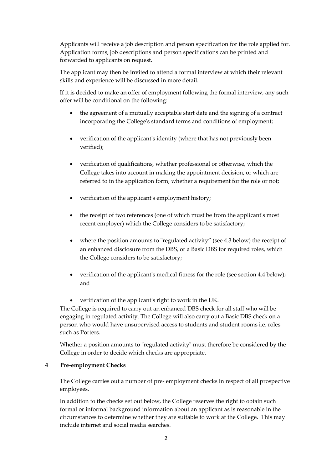Applicants will receive a job description and person specification for the role applied for. Application forms, job descriptions and person specifications can be printed and forwarded to applicants on request.

The applicant may then be invited to attend a formal interview at which their relevant skills and experience will be discussed in more detail.

If it is decided to make an offer of employment following the formal interview, any such offer will be conditional on the following:

- the agreement of a mutually acceptable start date and the signing of a contract incorporating the College's standard terms and conditions of employment;
- verification of the applicant's identity (where that has not previously been verified);
- verification of qualifications, whether professional or otherwise, which the College takes into account in making the appointment decision, or which are referred to in the application form, whether a requirement for the role or not;
- verification of the applicant's employment history;
- the receipt of two references (one of which must be from the applicant's most recent employer) which the College considers to be satisfactory;
- where the position amounts to "regulated activity" (see 4.3 below) the receipt of an enhanced disclosure from the DBS, or a Basic DBS for required roles, which the College considers to be satisfactory;
- verification of the applicant's medical fitness for the role (see section 4.4 below); and
- verification of the applicant's right to work in the UK.

The College is required to carry out an enhanced DBS check for all staff who will be engaging in regulated activity. The College will also carry out a Basic DBS check on a person who would have unsupervised access to students and student rooms i.e. roles such as Porters.

Whether a position amounts to "regulated activity" must therefore be considered by the College in order to decide which checks are appropriate.

#### **4 Pre-employment Checks**

The College carries out a number of pre- employment checks in respect of all prospective employees.

In addition to the checks set out below, the College reserves the right to obtain such formal or informal background information about an applicant as is reasonable in the circumstances to determine whether they are suitable to work at the College. This may include internet and social media searches.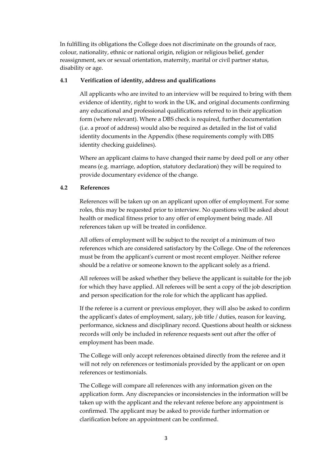In fulfilling its obligations the College does not discriminate on the grounds of race, colour, nationality, ethnic or national origin, religion or religious belief, gender reassignment, sex or sexual orientation, maternity, marital or civil partner status, disability or age.

#### **4.1 Verification of identity, address and qualifications**

All applicants who are invited to an interview will be required to bring with them evidence of identity, right to work in the UK, and original documents confirming any educational and professional qualifications referred to in their application form (where relevant). Where a DBS check is required, further documentation (i.e. a proof of address) would also be required as detailed in the list of valid identity documents in the Appendix (these requirements comply with DBS identity checking guidelines).

Where an applicant claims to have changed their name by deed poll or any other means (e.g. marriage, adoption, statutory declaration) they will be required to provide documentary evidence of the change.

#### **4.2 References**

References will be taken up on an applicant upon offer of employment. For some roles, this may be requested prior to interview. No questions will be asked about health or medical fitness prior to any offer of employment being made. All references taken up will be treated in confidence.

All offers of employment will be subject to the receipt of a minimum of two references which are considered satisfactory by the College. One of the references must be from the applicant's current or most recent employer. Neither referee should be a relative or someone known to the applicant solely as a friend.

All referees will be asked whether they believe the applicant is suitable for the job for which they have applied. All referees will be sent a copy of the job description and person specification for the role for which the applicant has applied.

If the referee is a current or previous employer, they will also be asked to confirm the applicant's dates of employment, salary, job title / duties, reason for leaving, performance, sickness and disciplinary record. Questions about health or sickness records will only be included in reference requests sent out after the offer of employment has been made.

The College will only accept references obtained directly from the referee and it will not rely on references or testimonials provided by the applicant or on open references or testimonials.

The College will compare all references with any information given on the application form. Any discrepancies or inconsistencies in the information will be taken up with the applicant and the relevant referee before any appointment is confirmed. The applicant may be asked to provide further information or clarification before an appointment can be confirmed.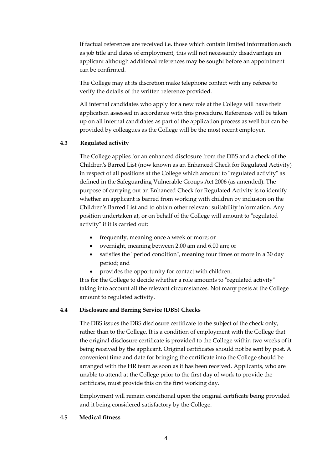If factual references are received i.e. those which contain limited information such as job title and dates of employment, this will not necessarily disadvantage an applicant although additional references may be sought before an appointment can be confirmed.

The College may at its discretion make telephone contact with any referee to verify the details of the written reference provided.

All internal candidates who apply for a new role at the College will have their application assessed in accordance with this procedure. References will be taken up on all internal candidates as part of the application process as well but can be provided by colleagues as the College will be the most recent employer.

### **4.3 Regulated activity**

The College applies for an enhanced disclosure from the DBS and a check of the Children's Barred List (now known as an Enhanced Check for Regulated Activity) in respect of all positions at the College which amount to "regulated activity" as defined in the Safeguarding Vulnerable Groups Act 2006 (as amended). The purpose of carrying out an Enhanced Check for Regulated Activity is to identify whether an applicant is barred from working with children by inclusion on the Children's Barred List and to obtain other relevant suitability information. Any position undertaken at, or on behalf of the College will amount to "regulated activity" if it is carried out:

- frequently, meaning once a week or more; or
- overnight, meaning between 2.00 am and 6.00 am; or
- satisfies the "period condition", meaning four times or more in a 30 day period; and
- provides the opportunity for contact with children.

It is for the College to decide whether a role amounts to "regulated activity" taking into account all the relevant circumstances. Not many posts at the College amount to regulated activity.

#### **4.4 Disclosure and Barring Service (DBS) Checks**

The DBS issues the DBS disclosure certificate to the subject of the check only, rather than to the College. It is a condition of employment with the College that the original disclosure certificate is provided to the College within two weeks of it being received by the applicant. Original certificates should not be sent by post. A convenient time and date for bringing the certificate into the College should be arranged with the HR team as soon as it has been received. Applicants, who are unable to attend at the College prior to the first day of work to provide the certificate, must provide this on the first working day.

Employment will remain conditional upon the original certificate being provided and it being considered satisfactory by the College.

#### **4.5 Medical fitness**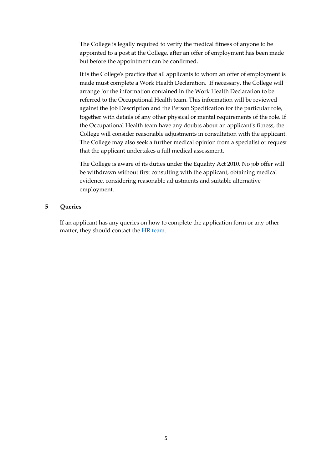The College is legally required to verify the medical fitness of anyone to be appointed to a post at the College, after an offer of employment has been made but before the appointment can be confirmed.

It is the College's practice that all applicants to whom an offer of employment is made must complete a Work Health Declaration. If necessary, the College will arrange for the information contained in the Work Health Declaration to be referred to the Occupational Health team. This information will be reviewed against the Job Description and the Person Specification for the particular role, together with details of any other physical or mental requirements of the role. If the Occupational Health team have any doubts about an applicant's fitness, the College will consider reasonable adjustments in consultation with the applicant. The College may also seek a further medical opinion from a specialist or request that the applicant undertakes a full medical assessment.

The College is aware of its duties under the Equality Act 2010. No job offer will be withdrawn without first consulting with the applicant, obtaining medical evidence, considering reasonable adjustments and suitable alternative employment.

#### **5 Queries**

If an applicant has any queries on how to complete the application form or any other matter, they should contact the [HR team.](mailto:hr@sel.cam.ac.uk)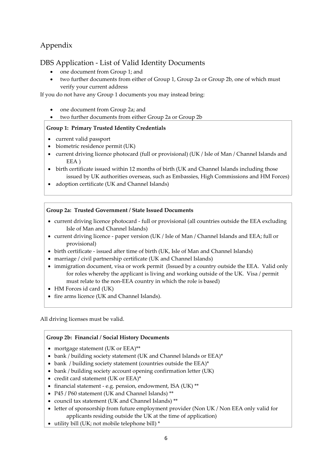# Appendix

## DBS Application - List of Valid Identity Documents

- one document from Group 1; and
- two further documents from either of Group 1, Group 2a or Group 2b, one of which must verify your current address

If you do not have any Group 1 documents you may instead bring:

- one document from Group 2a; and
- two further documents from either Group 2a or Group 2b

## **Group 1: Primary Trusted Identity Credentials**

- current valid passport
- biometric residence permit (UK)
- current driving licence photocard (full or provisional) (UK / Isle of Man / Channel Islands and EEA )
- birth certificate issued within 12 months of birth (UK and Channel Islands including those issued by UK authorities overseas, such as Embassies, High Commissions and HM Forces)
- adoption certificate (UK and Channel Islands)

## **Group 2a: Trusted Government / State Issued Documents**

- current driving licence photocard full or provisional (all countries outside the EEA excluding Isle of Man and Channel Islands)
- current driving licence paper version (UK / Isle of Man / Channel Islands and EEA; full or provisional)
- birth certificate issued after time of birth (UK, Isle of Man and Channel Islands)
- marriage / civil partnership certificate (UK and Channel Islands)
- immigration document, visa or work permit (Issued by a country outside the EEA. Valid only for roles whereby the applicant is living and working outside of the UK. Visa / permit must relate to the non-EEA country in which the role is based)
- HM Forces id card (UK)
- fire arms licence (UK and Channel Islands).

All driving licenses must be valid.

#### **Group 2b: Financial / Social History Documents**

- mortgage statement (UK or EEA)\*\*
- bank / building society statement (UK and Channel Islands or EEA)\*
- bank / building society statement (countries outside the EEA)\*
- bank / building society account opening confirmation letter (UK)
- credit card statement (UK or EEA)\*
- financial statement e.g. pension, endowment, ISA (UK) \*\*
- P45 / P60 statement (UK and Channel Islands) \*\*
- council tax statement (UK and Channel Islands) \*\*
- letter of sponsorship from future employment provider (Non UK / Non EEA only valid for applicants residing outside the UK at the time of application)
- utility bill (UK; not mobile telephone bill) \*